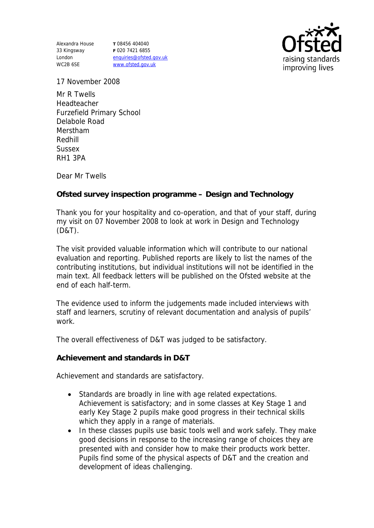Alexandra House 33 Kingsway London WC2B 6SE

**T** 08456 404040 **F** 020 7421 6855 enquiries@ofsted.gov.uk www.ofsted.gov.uk



17 November 2008

Mr R Twells Headteacher Furzefield Primary School Delabole Road Merstham Redhill Sussex RH1 3PA

Dear Mr Twells

**Ofsted survey inspection programme – Design and Technology** 

Thank you for your hospitality and co-operation, and that of your staff, during my visit on 07 November 2008 to look at work in Design and Technology (D&T).

The visit provided valuable information which will contribute to our national evaluation and reporting. Published reports are likely to list the names of the contributing institutions, but individual institutions will not be identified in the main text. All feedback letters will be published on the Ofsted website at the end of each half-term.

The evidence used to inform the judgements made included interviews with staff and learners, scrutiny of relevant documentation and analysis of pupils' work.

The overall effectiveness of D&T was judged to be satisfactory.

**Achievement and standards in D&T**

Achievement and standards are satisfactory.

- Standards are broadly in line with age related expectations. Achievement is satisfactory; and in some classes at Key Stage 1 and early Key Stage 2 pupils make good progress in their technical skills which they apply in a range of materials.
- In these classes pupils use basic tools well and work safely. They make good decisions in response to the increasing range of choices they are presented with and consider how to make their products work better. Pupils find some of the physical aspects of D&T and the creation and development of ideas challenging.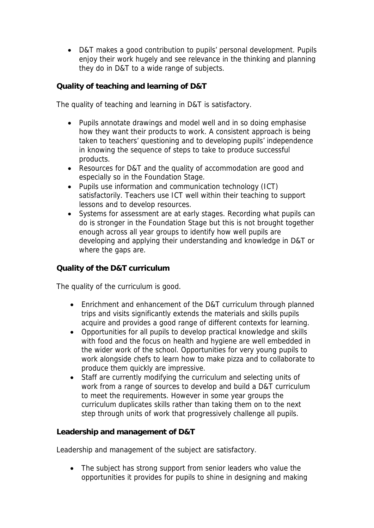D&T makes a good contribution to pupils' personal development. Pupils enjoy their work hugely and see relevance in the thinking and planning they do in D&T to a wide range of subjects.

**Quality of teaching and learning of D&T**

The quality of teaching and learning in D&T is satisfactory.

- Pupils annotate drawings and model well and in so doing emphasise how they want their products to work. A consistent approach is being taken to teachers' questioning and to developing pupils' independence in knowing the sequence of steps to take to produce successful products.
- Resources for D&T and the quality of accommodation are good and especially so in the Foundation Stage.
- Pupils use information and communication technology (ICT) satisfactorily. Teachers use ICT well within their teaching to support lessons and to develop resources.
- Systems for assessment are at early stages. Recording what pupils can do is stronger in the Foundation Stage but this is not brought together enough across all year groups to identify how well pupils are developing and applying their understanding and knowledge in D&T or where the gaps are.

## **Quality of the D&T curriculum**

The quality of the curriculum is good.

- Enrichment and enhancement of the D&T curriculum through planned trips and visits significantly extends the materials and skills pupils acquire and provides a good range of different contexts for learning.
- Opportunities for all pupils to develop practical knowledge and skills with food and the focus on health and hygiene are well embedded in the wider work of the school. Opportunities for very young pupils to work alongside chefs to learn how to make pizza and to collaborate to produce them quickly are impressive.
- Staff are currently modifying the curriculum and selecting units of work from a range of sources to develop and build a D&T curriculum to meet the requirements. However in some year groups the curriculum duplicates skills rather than taking them on to the next step through units of work that progressively challenge all pupils.

**Leadership and management of D&T**

Leadership and management of the subject are satisfactory.

• The subject has strong support from senior leaders who value the opportunities it provides for pupils to shine in designing and making